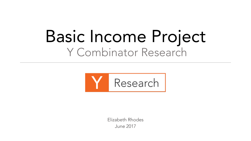## Basic Income Project Y Combinator Research



Elizabeth Rhodes June 2017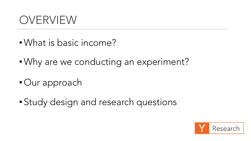### OVERVIEW

- •What is basic income?
- •Why are we conducting an experiment?
- Our approach
- Study design and research questions

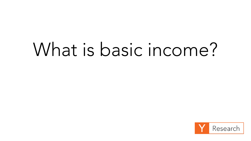# What is basic income?

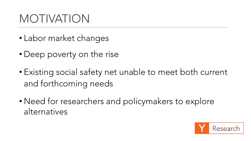### MOTIVATION

- Labor market changes
- Deep poverty on the rise
- Existing social safety net unable to meet both current and forthcoming needs
- Need for researchers and policymakers to explore alternatives

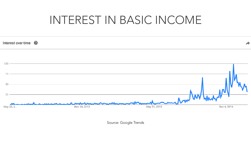### INTEREST IN BASIC INCOME



Source: Google Trends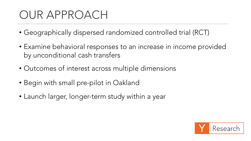### OUR APPROACH

- Geographically dispersed randomized controlled trial (RCT)
- Examine behavioral responses to an increase in income provided by unconditional cash transfers
- Outcomes of interest across multiple dimensions
- Begin with small pre-pilot in Oakland
- Launch larger, longer-term study within a year

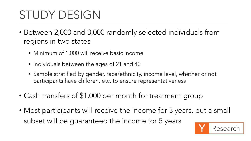### STUDY DESIGN

- Between 2,000 and 3,000 randomly selected individuals from regions in two states
	- Minimum of 1,000 will receive basic income
	- Individuals between the ages of 21 and 40
	- Sample stratified by gender, race/ethnicity, income level, whether or not participants have children, etc. to ensure representativeness
- Cash transfers of \$1,000 per month for treatment group
- Most participants will receive the income for 3 years, but a small subset will be guaranteed the income for 5 years

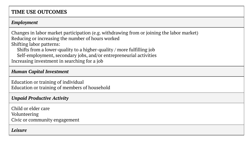#### **TIME USE OUTCOMES**

#### *Employment*

Changes in labor market participation (e.g. withdrawing from or joining the labor market) Reducing or increasing the number of hours worked Shifting labor patterns:

Shifts from a lower-quality to a higher-quality / more fulfilling job

Self-employment, secondary jobs, and/or entrepreneurial activities Increasing investment in searching for a job

*Human Capital Investment*

Education or training of individual Education or training of members of household

#### *Unpaid Productive Activity*

Child or elder care Volunteering Civic or community engagement

#### *Leisure*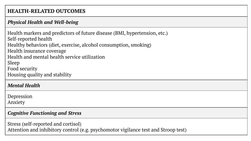#### **HEALTH-RELATED OUTCOMES**

#### *Physical Health and Well-being*

Health markers and predictors of future disease (BMI, hypertension, etc.) Self-reported health Healthy behaviors (diet, exercise, alcohol consumption, smoking) Health insurance coverage Health and mental health service utilization Sleep Food security Housing quality and stability

#### *Mental Health*

Depression Anxiety

#### *Cognitive Functioning and Stress*

Stress (self-reported and cortisol) Attention and inhibitory control (e.g. psychomotor vigilance test and Stroop test)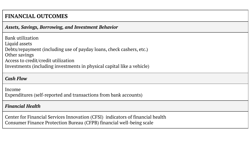#### **FINANCIAL OUTCOMES**

#### *Assets, Savings, Borrowing, and Investment Behavior*

| <b>Bank utilization</b>                                                |
|------------------------------------------------------------------------|
| Liquid assets                                                          |
| Debts/repayment (including use of payday loans, check cashers, etc.)   |
| Other savings                                                          |
| Access to credit/credit utilization                                    |
| Investments (including investments in physical capital like a vehicle) |
|                                                                        |

#### *Cash Flow*

Income Expenditures (self-reported and transactions from bank accounts)

#### *Financial Health*

Center for Financial Services Innovation (CFSI) indicators of financial health Consumer Finance Protection Bureau (CFPB) financial well-being scale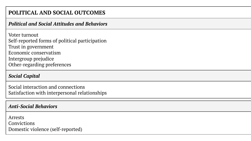#### **POLITICAL AND SOCIAL OUTCOMES**

#### *Political and Social Attitudes and Behaviors*

Voter turnout Self-reported forms of political participation Trust in government Economic conservatism Intergroup prejudice Other-regarding preferences

#### *Social Capital*

Social interaction and connections Satisfaction with interpersonal relationships

#### *Anti-Social Behaviors*

Arrests Convictions Domestic violence (self-reported)